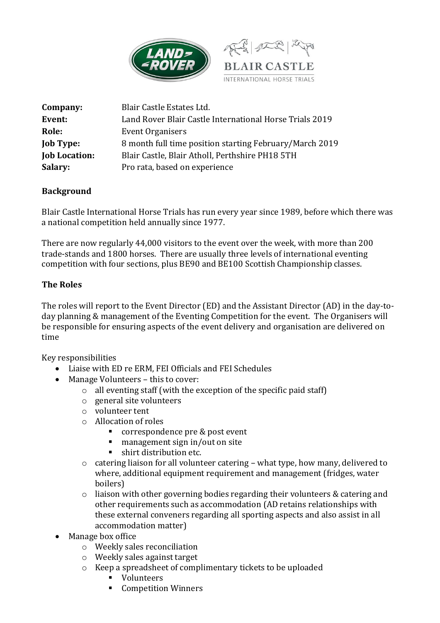



| Company:             | Blair Castle Estates Ltd.                               |
|----------------------|---------------------------------------------------------|
| Event:               | Land Rover Blair Castle International Horse Trials 2019 |
| Role:                | Event Organisers                                        |
| <b>Job Type:</b>     | 8 month full time position starting February/March 2019 |
| <b>Job Location:</b> | Blair Castle, Blair Atholl, Perthshire PH18 5TH         |
| Salary:              | Pro rata, based on experience                           |

## **Background**

Blair Castle International Horse Trials has run every year since 1989, before which there was a national competition held annually since 1977.

There are now regularly 44,000 visitors to the event over the week, with more than 200 trade-stands and 1800 horses. There are usually three levels of international eventing competition with four sections, plus BE90 and BE100 Scottish Championship classes.

## **The Roles**

The roles will report to the Event Director (ED) and the Assistant Director (AD) in the day-today planning & management of the Eventing Competition for the event. The Organisers will be responsible for ensuring aspects of the event delivery and organisation are delivered on time

Key responsibilities

- Liaise with ED re ERM, FEI Officials and FEI Schedules
- Manage Volunteers this to cover:
	- o all eventing staff (with the exception of the specific paid staff)
	- o general site volunteers
	- o volunteer tent
	- o Allocation of roles
		- correspondence pre & post event
		- management sign in/out on site
		- shirt distribution etc.
	- $\circ$  catering liaison for all volunteer catering what type, how many, delivered to where, additional equipment requirement and management (fridges, water boilers)
	- o liaison with other governing bodies regarding their volunteers & catering and other requirements such as accommodation (AD retains relationships with these external conveners regarding all sporting aspects and also assist in all accommodation matter)
- Manage box office
	- o Weekly sales reconciliation
	- o Weekly sales against target
	- o Keep a spreadsheet of complimentary tickets to be uploaded
		- Volunteers
		- Competition Winners